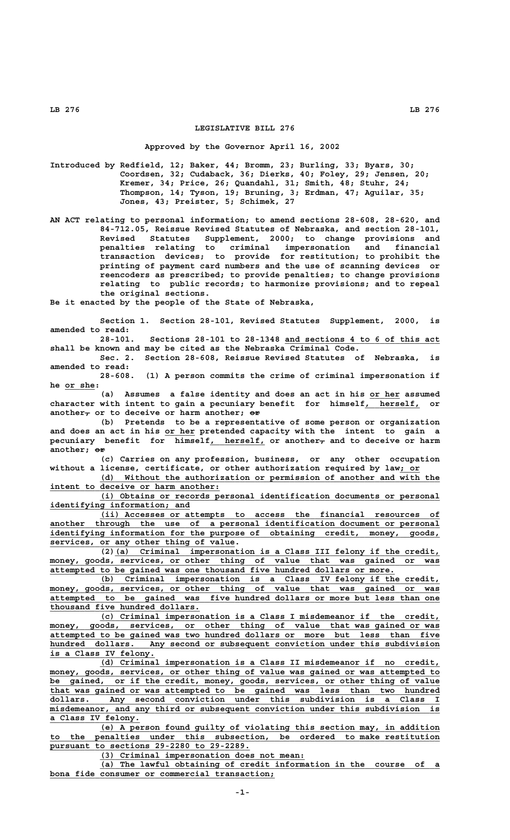## **LEGISLATIVE BILL 276**

## **Approved by the Governor April 16, 2002**

**Introduced by Redfield, 12; Baker, 44; Bromm, 23; Burling, 33; Byars, 30; Coordsen, 32; Cudaback, 36; Dierks, 40; Foley, 29; Jensen, 20; Kremer, 34; Price, 26; Quandahl, 31; Smith, 48; Stuhr, 24; Thompson, 14; Tyson, 19; Bruning, 3; Erdman, 47; Aguilar, 35; Jones, 43; Preister, 5; Schimek, 27**

**AN ACT relating to personal information; to amend sections 28-608, 28-620, and 84-712.05, Reissue Revised Statutes of Nebraska, and section 28-101, Revised Statutes Supplement, 2000; to change provisions and penalties relating to criminal impersonation and financial transaction devices; to provide for restitution; to prohibit the printing of payment card numbers and the use of scanning devices or reencoders as prescribed; to provide penalties; to change provisions relating to public records; to harmonize provisions; and to repeal the original sections.**

**Be it enacted by the people of the State of Nebraska,**

**Section 1. Section 28-101, Revised Statutes Supplement, 2000, is amended to read:**

**28-101. Sections 28-101 to 28-1348 and sections 4 to 6 of this act \_\_\_\_\_\_\_\_\_\_\_\_\_\_\_\_\_\_\_\_\_\_\_\_\_\_\_\_\_\_\_ shall be known and may be cited as the Nebraska Criminal Code.**

**Sec. 2. Section 28-608, Reissue Revised Statutes of Nebraska, is**

**amended to read: 28-608. (1) A person commits the crime of criminal impersonation if \_\_\_\_\_\_ he or she:**

**(a) Assumes a false identity and does an act in his or her assumed \_\_\_\_\_\_** character with intent to gain a pecuniary benefit for himself, herself, or  **— —— another, or to deceive or harm another; or**

**(b) Pretends to be a representative of some person or organization \_\_\_\_\_\_ and does an act in his or her pretended capacity with the intent to gain a** pecuniary benefit for himself, herself, or another<sub>7</sub> and to deceive or harm  **another; or ——**

**(c) Carries on any profession, business, or any other occupation** without a license, certificate, or other authorization required by law; or

 **\_\_\_\_\_\_\_\_\_\_\_\_\_\_\_\_\_\_\_\_\_\_\_\_\_\_\_\_\_\_\_\_\_\_\_\_\_\_\_\_\_\_\_\_\_\_\_\_\_\_\_\_\_\_\_\_\_\_\_\_\_\_\_\_\_\_\_\_ (d) Without the authorization or permission of another and with the \_\_\_\_\_\_\_\_\_\_\_\_\_\_\_\_\_\_\_\_\_\_\_\_\_\_\_\_\_\_\_\_\_\_ intent to deceive or harm another:**

 **\_\_\_\_\_\_\_\_\_\_\_\_\_\_\_\_\_\_\_\_\_\_\_\_\_\_\_\_\_\_\_\_\_\_\_\_\_\_\_\_\_\_\_\_\_\_\_\_\_\_\_\_\_\_\_\_\_\_\_\_\_\_\_\_\_\_\_\_ (i) Obtains or records personal identification documents or personal \_\_\_\_\_\_\_\_\_\_\_\_\_\_\_\_\_\_\_\_\_\_\_\_\_\_\_\_ identifying information; and**

 **\_\_\_\_\_\_\_\_\_\_\_\_\_\_\_\_\_\_\_\_\_\_\_\_\_\_\_\_\_\_\_\_\_\_\_\_\_\_\_\_\_\_\_\_\_\_\_\_\_\_\_\_\_\_\_\_\_\_\_\_\_\_\_\_\_\_\_\_ (ii) Accesses or attempts to access the financial resources of** another through the use of a personal identification document or personal  **\_\_\_\_\_\_\_\_\_\_\_\_\_\_\_\_\_\_\_\_\_\_\_\_\_\_\_\_\_\_\_\_\_\_\_\_\_\_\_\_\_\_\_\_\_\_\_\_\_\_\_\_\_\_\_\_\_\_\_\_\_\_\_\_\_\_\_\_\_\_\_\_\_\_\_\_\_\_ identifying information for the purpose of obtaining credit, money, goods, \_\_\_\_\_\_\_\_\_\_\_\_\_\_\_\_\_\_\_\_\_\_\_\_\_\_\_\_\_\_\_\_\_\_\_\_\_ services, or any other thing of value.**

 **\_\_\_\_\_\_\_\_\_\_\_\_\_\_\_\_\_\_\_\_\_\_\_\_\_\_\_\_\_\_\_\_\_\_\_\_\_\_\_\_\_\_\_\_\_\_\_\_\_\_\_\_\_\_\_\_\_\_\_\_\_\_\_\_\_ (2)(a) Criminal impersonation is a Class III felony if the credit,**  $\overline{m}$ oney, goods, services, or other thing of value that was gained or was  **\_\_\_\_\_\_\_\_\_\_\_\_\_\_\_\_\_\_\_\_\_\_\_\_\_\_\_\_\_\_\_\_\_\_\_\_\_\_\_\_\_\_\_\_\_\_\_\_\_\_\_\_\_\_\_\_\_\_\_\_\_\_\_\_\_\_\_\_\_ attempted to be gained was one thousand five hundred dollars or more.**

 **\_\_\_\_\_\_\_\_\_\_\_\_\_\_\_\_\_\_\_\_\_\_\_\_\_\_\_\_\_\_\_\_\_\_\_\_\_\_\_\_\_\_\_\_\_\_\_\_\_\_\_\_\_\_\_\_\_\_\_\_\_\_\_\_\_\_\_\_ (b) Criminal impersonation is a Class IV felony if the credit,** money, goods, services, or other thing of value that was gained or was  **\_\_\_\_\_\_\_\_\_\_\_\_\_\_\_\_\_\_\_\_\_\_\_\_\_\_\_\_\_\_\_\_\_\_\_\_\_\_\_\_\_\_\_\_\_\_\_\_\_\_\_\_\_\_\_\_\_\_\_\_\_\_\_\_\_\_\_\_\_\_\_\_\_\_\_\_\_\_ attempted to be gained was five hundred dollars or more but less than one \_\_\_\_\_\_\_\_\_\_\_\_\_\_\_\_\_\_\_\_\_\_\_\_\_\_\_\_\_\_ thousand five hundred dollars.**

 **\_\_\_\_\_\_\_\_\_\_\_\_\_\_\_\_\_\_\_\_\_\_\_\_\_\_\_\_\_\_\_\_\_\_\_\_\_\_\_\_\_\_\_\_\_\_\_\_\_\_\_\_\_\_\_\_\_\_\_\_\_\_\_\_\_\_\_\_ (c) Criminal impersonation is a Class I misdemeanor if the credit, \_\_\_\_\_\_\_\_\_\_\_\_\_\_\_\_\_\_\_\_\_\_\_\_\_\_\_\_\_\_\_\_\_\_\_\_\_\_\_\_\_\_\_\_\_\_\_\_\_\_\_\_\_\_\_\_\_\_\_\_\_\_\_\_\_\_\_\_\_\_\_\_\_\_\_\_\_\_ money, goods, services, or other thing of value that was gained or was** attempted to be gained was two hundred dollars or more but less than five hundred dollars. Any second or subsequent conviction under this subdivision Any second or subsequent conviction under this subdivision  **\_\_\_\_\_\_\_\_\_\_\_\_\_\_\_\_\_\_\_\_\_ is a Class IV felony.**

 **\_\_\_\_\_\_\_\_\_\_\_\_\_\_\_\_\_\_\_\_\_\_\_\_\_\_\_\_\_\_\_\_\_\_\_\_\_\_\_\_\_\_\_\_\_\_\_\_\_\_\_\_\_\_\_\_\_\_\_\_\_\_\_\_\_\_\_\_ (d) Criminal impersonation is a Class II misdemeanor if no credit,**  $\text{money}$ , goods, services, or other thing of value was gained or was attempted to  **\_\_\_\_\_\_\_\_\_\_\_\_\_\_\_\_\_\_\_\_\_\_\_\_\_\_\_\_\_\_\_\_\_\_\_\_\_\_\_\_\_\_\_\_\_\_\_\_\_\_\_\_\_\_\_\_\_\_\_\_\_\_\_\_\_\_\_\_\_\_\_\_\_\_\_\_\_\_ be gained, or if the credit, money, goods, services, or other thing of value \_\_\_\_\_\_\_\_\_\_\_\_\_\_\_\_\_\_\_\_\_\_\_\_\_\_\_\_\_\_\_\_\_\_\_\_\_\_\_\_\_\_\_\_\_\_\_\_\_\_\_\_\_\_\_\_\_\_\_\_\_\_\_\_\_\_\_\_\_\_\_\_\_\_\_\_\_\_ that was gained or was attempted to be gained was less than two hundred \_\_\_\_\_\_\_\_\_\_\_\_\_\_\_\_\_\_\_\_\_\_\_\_\_\_\_\_\_\_\_\_\_\_\_\_\_\_\_\_\_\_\_\_\_\_\_\_\_\_\_\_\_\_\_\_\_\_\_\_\_\_\_\_\_\_\_\_\_\_\_\_\_\_\_\_\_\_ dollars. Any second conviction under this subdivision is a Class I \_\_\_\_\_\_\_\_\_\_\_\_\_\_\_\_\_\_\_\_\_\_\_\_\_\_\_\_\_\_\_\_\_\_\_\_\_\_\_\_\_\_\_\_\_\_\_\_\_\_\_\_\_\_\_\_\_\_\_\_\_\_\_\_\_\_\_\_\_\_\_\_\_\_\_\_\_\_ misdemeanor, and any third or subsequent conviction under this subdivision is \_\_\_\_\_\_\_\_\_\_\_\_\_\_\_\_\_\_ a Class IV felony.**

> **\_\_\_\_\_\_\_\_\_\_\_\_\_\_\_\_\_\_\_\_\_\_\_\_\_\_\_\_\_\_\_\_\_\_\_\_\_\_\_\_\_\_\_\_\_\_\_\_\_\_\_\_\_\_\_\_\_\_\_\_\_\_\_\_\_\_\_\_ (e) A person found guilty of violating this section may, in addition \_\_\_\_\_\_\_\_\_\_\_\_\_\_\_\_\_\_\_\_\_\_\_\_\_\_\_\_\_\_\_\_\_\_\_\_\_\_\_\_\_\_\_\_\_\_\_\_\_\_\_\_\_\_\_\_\_\_\_\_\_\_\_\_\_\_\_\_\_\_\_\_\_\_\_\_\_\_ to the penalties under this subsection, be ordered to make restitution \_\_\_\_\_\_\_\_\_\_\_\_\_\_\_\_\_\_\_\_\_\_\_\_\_\_\_\_\_\_\_\_\_\_\_\_\_\_\_\_ pursuant to sections 29-2280 to 29-2289.**

 **\_\_\_\_\_\_\_\_\_\_\_\_\_\_\_\_\_\_\_\_\_\_\_\_\_\_\_\_\_\_\_\_\_\_\_\_\_\_\_\_\_ (3) Criminal impersonation does not mean:**

 **\_\_\_\_\_\_\_\_\_\_\_\_\_\_\_\_\_\_\_\_\_\_\_\_\_\_\_\_\_\_\_\_\_\_\_\_\_\_\_\_\_\_\_\_\_\_\_\_\_\_\_\_\_\_\_\_\_\_\_\_\_\_\_\_\_\_\_\_ (a) The lawful obtaining of credit information in the course of a** bona fide consumer or commercial transaction;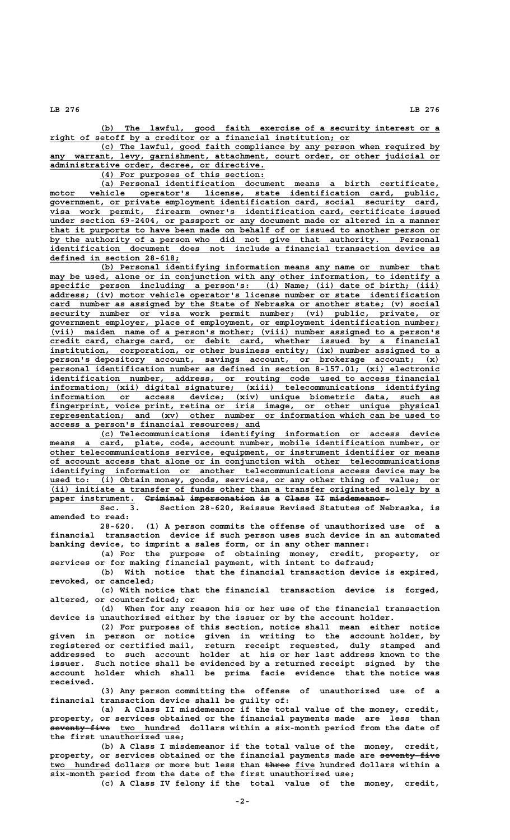**\_\_\_\_\_\_\_\_\_\_\_\_\_\_\_\_\_\_\_\_\_\_\_\_\_\_\_\_\_\_\_\_\_\_\_\_\_\_\_\_\_\_\_\_\_\_\_\_\_\_\_\_\_\_\_\_\_\_\_\_\_\_\_\_\_\_\_\_ (b) The lawful, good faith exercise of a security interest or a \_\_\_\_\_\_\_\_\_\_\_\_\_\_\_\_\_\_\_\_\_\_\_\_\_\_\_\_\_\_\_\_\_\_\_\_\_\_\_\_\_\_\_\_\_\_\_\_\_\_\_\_\_\_\_\_\_\_\_\_ right of setoff by a creditor or a financial institution; or**

 **\_\_\_\_\_\_\_\_\_\_\_\_\_\_\_\_\_\_\_\_\_\_\_\_\_\_\_\_\_\_\_\_\_\_\_\_\_\_\_\_\_\_\_\_\_\_\_\_\_\_\_\_\_\_\_\_\_\_\_\_\_\_\_\_\_\_\_\_ (c) The lawful, good faith compliance by any person when required by \_\_\_\_\_\_\_\_\_\_\_\_\_\_\_\_\_\_\_\_\_\_\_\_\_\_\_\_\_\_\_\_\_\_\_\_\_\_\_\_\_\_\_\_\_\_\_\_\_\_\_\_\_\_\_\_\_\_\_\_\_\_\_\_\_\_\_\_\_\_\_\_\_\_\_\_\_\_ any warrant, levy, garnishment, attachment, court order, or other judicial or**  $administrative order, decrease, or directive.$ </u>

 **\_\_\_\_\_\_\_\_\_\_\_\_\_\_\_\_\_\_\_\_\_\_\_\_\_\_\_\_\_\_\_\_\_ (4) For purposes of this section:**

 **\_\_\_\_\_\_\_\_\_\_\_\_\_\_\_\_\_\_\_\_\_\_\_\_\_\_\_\_\_\_\_\_\_\_\_\_\_\_\_\_\_\_\_\_\_\_\_\_\_\_\_\_\_\_\_\_\_\_\_\_\_\_\_\_\_\_\_\_ (a) Personal identification document means a birth certificate,**  $\text{motor}$  vehicle operator's license, state identification card, public,  **\_\_\_\_\_\_\_\_\_\_\_\_\_\_\_\_\_\_\_\_\_\_\_\_\_\_\_\_\_\_\_\_\_\_\_\_\_\_\_\_\_\_\_\_\_\_\_\_\_\_\_\_\_\_\_\_\_\_\_\_\_\_\_\_\_\_\_\_\_\_\_\_\_\_\_\_\_\_ government, or private employment identification card, social security card, \_\_\_\_\_\_\_\_\_\_\_\_\_\_\_\_\_\_\_\_\_\_\_\_\_\_\_\_\_\_\_\_\_\_\_\_\_\_\_\_\_\_\_\_\_\_\_\_\_\_\_\_\_\_\_\_\_\_\_\_\_\_\_\_\_\_\_\_\_\_\_\_\_\_\_\_\_\_ visa work permit, firearm owner's identification card, certificate issued \_\_\_\_\_\_\_\_\_\_\_\_\_\_\_\_\_\_\_\_\_\_\_\_\_\_\_\_\_\_\_\_\_\_\_\_\_\_\_\_\_\_\_\_\_\_\_\_\_\_\_\_\_\_\_\_\_\_\_\_\_\_\_\_\_\_\_\_\_\_\_\_\_\_\_\_\_\_ under section 69-2404, or passport or any document made or altered in a manner** that it purports to have been made on behalf of or issued to another person or by the authority of a person who did not give that authority. Personal  **\_\_\_\_\_\_\_\_\_\_\_\_\_\_\_\_\_\_\_\_\_\_\_\_\_\_\_\_\_\_\_\_\_\_\_\_\_\_\_\_\_\_\_\_\_\_\_\_\_\_\_\_\_\_\_\_\_\_\_\_\_\_\_\_\_\_\_\_\_\_\_\_\_\_\_\_\_\_ identification document does not include a financial transaction device as \_\_\_\_\_\_\_\_\_\_\_\_\_\_\_\_\_\_\_\_\_\_\_\_\_\_ defined in section 28-618;**

 **\_\_\_\_\_\_\_\_\_\_\_\_\_\_\_\_\_\_\_\_\_\_\_\_\_\_\_\_\_\_\_\_\_\_\_\_\_\_\_\_\_\_\_\_\_\_\_\_\_\_\_\_\_\_\_\_\_\_\_\_\_\_\_\_\_\_\_\_ (b) Personal identifying information means any name or number that**  $m$ ay be used, alone or in conjunction with any other information, to identify a  **\_\_\_\_\_\_\_\_\_\_\_\_\_\_\_\_\_\_\_\_\_\_\_\_\_\_\_\_\_\_\_\_\_\_\_\_\_\_\_\_\_\_\_\_\_\_\_\_\_\_\_\_\_\_\_\_\_\_\_\_\_\_\_\_\_\_\_\_\_\_\_\_\_\_\_\_\_\_ specific person including a person's: (i) Name; (ii) date of birth; (iii) \_\_\_\_\_\_\_\_\_\_\_\_\_\_\_\_\_\_\_\_\_\_\_\_\_\_\_\_\_\_\_\_\_\_\_\_\_\_\_\_\_\_\_\_\_\_\_\_\_\_\_\_\_\_\_\_\_\_\_\_\_\_\_\_\_\_\_\_\_\_\_\_\_\_\_\_\_\_ address; (iv) motor vehicle operator's license number or state identification \_\_\_\_\_\_\_\_\_\_\_\_\_\_\_\_\_\_\_\_\_\_\_\_\_\_\_\_\_\_\_\_\_\_\_\_\_\_\_\_\_\_\_\_\_\_\_\_\_\_\_\_\_\_\_\_\_\_\_\_\_\_\_\_\_\_\_\_\_\_\_\_\_\_\_\_\_\_ card number as assigned by the State of Nebraska or another state; (v) social \_\_\_\_\_\_\_\_\_\_\_\_\_\_\_\_\_\_\_\_\_\_\_\_\_\_\_\_\_\_\_\_\_\_\_\_\_\_\_\_\_\_\_\_\_\_\_\_\_\_\_\_\_\_\_\_\_\_\_\_\_\_\_\_\_\_\_\_\_\_\_\_\_\_\_\_\_\_ security number or visa work permit number; (vi) public, private, or \_\_\_\_\_\_\_\_\_\_\_\_\_\_\_\_\_\_\_\_\_\_\_\_\_\_\_\_\_\_\_\_\_\_\_\_\_\_\_\_\_\_\_\_\_\_\_\_\_\_\_\_\_\_\_\_\_\_\_\_\_\_\_\_\_\_\_\_\_\_\_\_\_\_\_\_\_\_ government employer, place of employment, or employment identification number; \_\_\_\_\_\_\_\_\_\_\_\_\_\_\_\_\_\_\_\_\_\_\_\_\_\_\_\_\_\_\_\_\_\_\_\_\_\_\_\_\_\_\_\_\_\_\_\_\_\_\_\_\_\_\_\_\_\_\_\_\_\_\_\_\_\_\_\_\_\_\_\_\_\_\_\_\_\_ (vii) maiden name of a person's mother; (viii) number assigned to a person's \_\_\_\_\_\_\_\_\_\_\_\_\_\_\_\_\_\_\_\_\_\_\_\_\_\_\_\_\_\_\_\_\_\_\_\_\_\_\_\_\_\_\_\_\_\_\_\_\_\_\_\_\_\_\_\_\_\_\_\_\_\_\_\_\_\_\_\_\_\_\_\_\_\_\_\_\_\_ credit card, charge card, or debit card, whether issued by a financial \_\_\_\_\_\_\_\_\_\_\_\_\_\_\_\_\_\_\_\_\_\_\_\_\_\_\_\_\_\_\_\_\_\_\_\_\_\_\_\_\_\_\_\_\_\_\_\_\_\_\_\_\_\_\_\_\_\_\_\_\_\_\_\_\_\_\_\_\_\_\_\_\_\_\_\_\_\_ institution, corporation, or other business entity; (ix) number assigned to a \_\_\_\_\_\_\_\_\_\_\_\_\_\_\_\_\_\_\_\_\_\_\_\_\_\_\_\_\_\_\_\_\_\_\_\_\_\_\_\_\_\_\_\_\_\_\_\_\_\_\_\_\_\_\_\_\_\_\_\_\_\_\_\_\_\_\_\_\_\_\_\_\_\_\_\_\_\_ person's depository account, savings account, or brokerage account; (x) \_\_\_\_\_\_\_\_\_\_\_\_\_\_\_\_\_\_\_\_\_\_\_\_\_\_\_\_\_\_\_\_\_\_\_\_\_\_\_\_\_\_\_\_\_\_\_\_\_\_\_\_\_\_\_\_\_\_\_\_\_\_\_\_\_\_\_\_\_\_\_\_\_\_\_\_\_\_ personal identification number as defined in section 8-157.01; (xi) electronic**  $identification number, address, or routing code used to access financial$  **\_\_\_\_\_\_\_\_\_\_\_\_\_\_\_\_\_\_\_\_\_\_\_\_\_\_\_\_\_\_\_\_\_\_\_\_\_\_\_\_\_\_\_\_\_\_\_\_\_\_\_\_\_\_\_\_\_\_\_\_\_\_\_\_\_\_\_\_\_\_\_\_\_\_\_\_\_\_ information; (xii) digital signature; (xiii) telecommunications identifying \_\_\_\_\_\_\_\_\_\_\_\_\_\_\_\_\_\_\_\_\_\_\_\_\_\_\_\_\_\_\_\_\_\_\_\_\_\_\_\_\_\_\_\_\_\_\_\_\_\_\_\_\_\_\_\_\_\_\_\_\_\_\_\_\_\_\_\_\_\_\_\_\_\_\_\_\_\_ information or access device; (xiv) unique biometric data, such as \_\_\_\_\_\_\_\_\_\_\_\_\_\_\_\_\_\_\_\_\_\_\_\_\_\_\_\_\_\_\_\_\_\_\_\_\_\_\_\_\_\_\_\_\_\_\_\_\_\_\_\_\_\_\_\_\_\_\_\_\_\_\_\_\_\_\_\_\_\_\_\_\_\_\_\_\_\_ fingerprint, voice print, retina or iris image, or other unique physical \_\_\_\_\_\_\_\_\_\_\_\_\_\_\_\_\_\_\_\_\_\_\_\_\_\_\_\_\_\_\_\_\_\_\_\_\_\_\_\_\_\_\_\_\_\_\_\_\_\_\_\_\_\_\_\_\_\_\_\_\_\_\_\_\_\_\_\_\_\_\_\_\_\_\_\_\_\_ representation; and (xv) other number or information which can be used to \_\_\_\_\_\_\_\_\_\_\_\_\_\_\_\_\_\_\_\_\_\_\_\_\_\_\_\_\_\_\_\_\_\_\_\_\_\_\_\_\_\_ access a person's financial resources; and**

 **\_\_\_\_\_\_\_\_\_\_\_\_\_\_\_\_\_\_\_\_\_\_\_\_\_\_\_\_\_\_\_\_\_\_\_\_\_\_\_\_\_\_\_\_\_\_\_\_\_\_\_\_\_\_\_\_\_\_\_\_\_\_\_\_\_\_\_\_ (c) Telecommunications identifying information or access device**  $\text{means}$  a card, plate, code, account number, mobile identification number, or  **\_\_\_\_\_\_\_\_\_\_\_\_\_\_\_\_\_\_\_\_\_\_\_\_\_\_\_\_\_\_\_\_\_\_\_\_\_\_\_\_\_\_\_\_\_\_\_\_\_\_\_\_\_\_\_\_\_\_\_\_\_\_\_\_\_\_\_\_\_\_\_\_\_\_\_\_\_\_ other telecommunications service, equipment, or instrument identifier or means \_\_\_\_\_\_\_\_\_\_\_\_\_\_\_\_\_\_\_\_\_\_\_\_\_\_\_\_\_\_\_\_\_\_\_\_\_\_\_\_\_\_\_\_\_\_\_\_\_\_\_\_\_\_\_\_\_\_\_\_\_\_\_\_\_\_\_\_\_\_\_\_\_\_\_\_\_\_ of account access that alone or in conjunction with other telecommunications \_\_\_\_\_\_\_\_\_\_\_\_\_\_\_\_\_\_\_\_\_\_\_\_\_\_\_\_\_\_\_\_\_\_\_\_\_\_\_\_\_\_\_\_\_\_\_\_\_\_\_\_\_\_\_\_\_\_\_\_\_\_\_\_\_\_\_\_\_\_\_\_\_\_\_\_\_\_ identifying information or another telecommunications access device may be \_\_\_\_\_\_\_\_\_\_\_\_\_\_\_\_\_\_\_\_\_\_\_\_\_\_\_\_\_\_\_\_\_\_\_\_\_\_\_\_\_\_\_\_\_\_\_\_\_\_\_\_\_\_\_\_\_\_\_\_\_\_\_\_\_\_\_\_\_\_\_\_\_\_\_\_\_\_ used to: (i) Obtain money, goods, services, or any other thing of value; or \_\_\_\_\_\_\_\_\_\_\_\_\_\_\_\_\_\_\_\_\_\_\_\_\_\_\_\_\_\_\_\_\_\_\_\_\_\_\_\_\_\_\_\_\_\_\_\_\_\_\_\_\_\_\_\_\_\_\_\_\_\_\_\_\_\_\_\_\_\_\_\_\_\_\_\_\_\_ (ii) initiate a transfer of funds other than a transfer originated solely by a** paper instrument. Criminal impersonation is a Class II misdemeanor.

**Sec. 3. Section 28-620, Reissue Revised Statutes of Nebraska, is amended to read:**

**28-620. (1) A person commits the offense of unauthorized use of a financial transaction device if such person uses such device in an automated banking device, to imprint a sales form, or in any other manner:**

**(a) For the purpose of obtaining money, credit, property, or services or for making financial payment, with intent to defraud;**

**(b) With notice that the financial transaction device is expired, revoked, or canceled;**

**(c) With notice that the financial transaction device is forged, altered, or counterfeited; or**

**(d) When for any reason his or her use of the financial transaction device is unauthorized either by the issuer or by the account holder.**

**(2) For purposes of this section, notice shall mean either notice given in person or notice given in writing to the account holder, by registered or certified mail, return receipt requested, duly stamped and addressed to such account holder at his or her last address known to the issuer. Such notice shall be evidenced by a returned receipt signed by the account holder which shall be prima facie evidence that the notice was received.**

**(3) Any person committing the offense of unauthorized use of a financial transaction device shall be guilty of:**

**(a) A Class II misdemeanor if the total value of the money, credit, property, or services obtained or the financial payments made are less than**  $seventy$ -five two hundred dollars within a six-month period from the date of **the first unauthorized use;**

**(b) A Class I misdemeanor if the total value of the money, credit,** property, or services obtained or the financial payments made are seventy-five  **\_\_\_\_\_\_\_\_\_\_\_\_ ————— \_\_\_\_ two hundred dollars or more but less than three five hundred dollars within a six-month period from the date of the first unauthorized use;**

**(c) A Class IV felony if the total value of the money, credit,**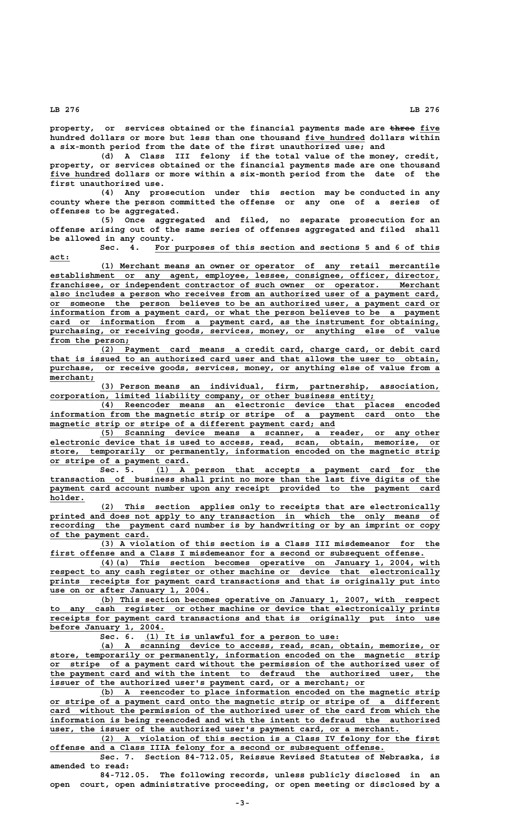property, or services obtained or the financial payments made are three five **hundred dollars or more but less than one thousand five hundred dollars within a six-month period from the date of the first unauthorized use; and**

**(d) A Class III felony if the total value of the money, credit, property, or services obtained or the financial payments made are one thousand \_\_\_\_\_\_\_\_\_\_\_\_ five hundred dollars or more within a six-month period from the date of the first unauthorized use.**

**(4) Any prosecution under this section may be conducted in any county where the person committed the offense or any one of a series of offenses to be aggregated.**

**(5) Once aggregated and filed, no separate prosecution for an offense arising out of the same series of offenses aggregated and filed shall be allowed in any county.**

 **\_\_\_\_\_\_\_\_\_\_\_\_\_\_\_\_\_\_\_\_\_\_\_\_\_\_\_\_\_\_\_\_\_\_\_\_\_\_\_\_\_\_\_\_\_\_\_\_\_\_\_\_\_\_\_\_\_ Sec. 4. For purposes of this section and sections 5 and 6 of this act:\_\_\_\_**

 **\_\_\_\_\_\_\_\_\_\_\_\_\_\_\_\_\_\_\_\_\_\_\_\_\_\_\_\_\_\_\_\_\_\_\_\_\_\_\_\_\_\_\_\_\_\_\_\_\_\_\_\_\_\_\_\_\_\_\_\_\_\_\_\_\_\_\_\_ (1) Merchant means an owner or operator of any retail mercantile \_\_\_\_\_\_\_\_\_\_\_\_\_\_\_\_\_\_\_\_\_\_\_\_\_\_\_\_\_\_\_\_\_\_\_\_\_\_\_\_\_\_\_\_\_\_\_\_\_\_\_\_\_\_\_\_\_\_\_\_\_\_\_\_\_\_\_\_\_\_\_\_\_\_\_\_\_\_ establishment or any agent, employee, lessee, consignee, officer, director,** franchisee, or independent contractor of such owner or operator. Merchant  **\_\_\_\_\_\_\_\_\_\_\_\_\_\_\_\_\_\_\_\_\_\_\_\_\_\_\_\_\_\_\_\_\_\_\_\_\_\_\_\_\_\_\_\_\_\_\_\_\_\_\_\_\_\_\_\_\_\_\_\_\_\_\_\_\_\_\_\_\_\_\_\_\_\_\_\_\_\_ also includes a person who receives from an authorized user of a payment card, \_\_\_\_\_\_\_\_\_\_\_\_\_\_\_\_\_\_\_\_\_\_\_\_\_\_\_\_\_\_\_\_\_\_\_\_\_\_\_\_\_\_\_\_\_\_\_\_\_\_\_\_\_\_\_\_\_\_\_\_\_\_\_\_\_\_\_\_\_\_\_\_\_\_\_\_\_\_ or someone the person believes to be an authorized user, a payment card or \_\_\_\_\_\_\_\_\_\_\_\_\_\_\_\_\_\_\_\_\_\_\_\_\_\_\_\_\_\_\_\_\_\_\_\_\_\_\_\_\_\_\_\_\_\_\_\_\_\_\_\_\_\_\_\_\_\_\_\_\_\_\_\_\_\_\_\_\_\_\_\_\_\_\_\_\_\_ information from a payment card, or what the person believes to be a payment \_\_\_\_\_\_\_\_\_\_\_\_\_\_\_\_\_\_\_\_\_\_\_\_\_\_\_\_\_\_\_\_\_\_\_\_\_\_\_\_\_\_\_\_\_\_\_\_\_\_\_\_\_\_\_\_\_\_\_\_\_\_\_\_\_\_\_\_\_\_\_\_\_\_\_\_\_\_ card or information from a payment card, as the instrument for obtaining,** purchasing, or receiving goods, services, money, or anything else of value  **\_\_\_\_\_\_\_\_\_\_\_\_\_\_\_\_ from the person;**

 **\_\_\_\_\_\_\_\_\_\_\_\_\_\_\_\_\_\_\_\_\_\_\_\_\_\_\_\_\_\_\_\_\_\_\_\_\_\_\_\_\_\_\_\_\_\_\_\_\_\_\_\_\_\_\_\_\_\_\_\_\_\_\_\_\_\_\_\_ (2) Payment card means a credit card, charge card, or debit card** that is issued to an authorized card user and that allows the user to obtain,  **\_\_\_\_\_\_\_\_\_\_\_\_\_\_\_\_\_\_\_\_\_\_\_\_\_\_\_\_\_\_\_\_\_\_\_\_\_\_\_\_\_\_\_\_\_\_\_\_\_\_\_\_\_\_\_\_\_\_\_\_\_\_\_\_\_\_\_\_\_\_\_\_\_\_\_\_\_\_ purchase, or receive goods, services, money, or anything else of value from a merchant; \_\_\_\_\_\_\_\_\_**

 **\_\_\_\_\_\_\_\_\_\_\_\_\_\_\_\_\_\_\_\_\_\_\_\_\_\_\_\_\_\_\_\_\_\_\_\_\_\_\_\_\_\_\_\_\_\_\_\_\_\_\_\_\_\_\_\_\_\_\_\_\_\_\_\_\_\_\_\_ (3) Person means an individual, firm, partnership, association, \_\_\_\_\_\_\_\_\_\_\_\_\_\_\_\_\_\_\_\_\_\_\_\_\_\_\_\_\_\_\_\_\_\_\_\_\_\_\_\_\_\_\_\_\_\_\_\_\_\_\_\_\_\_\_\_\_\_\_\_\_\_\_\_\_ corporation, limited liability company, or other business entity;**

 **\_\_\_\_\_\_\_\_\_\_\_\_\_\_\_\_\_\_\_\_\_\_\_\_\_\_\_\_\_\_\_\_\_\_\_\_\_\_\_\_\_\_\_\_\_\_\_\_\_\_\_\_\_\_\_\_\_\_\_\_\_\_\_\_\_\_\_\_ (4) Reencoder means an electronic device that places encoded \_\_\_\_\_\_\_\_\_\_\_\_\_\_\_\_\_\_\_\_\_\_\_\_\_\_\_\_\_\_\_\_\_\_\_\_\_\_\_\_\_\_\_\_\_\_\_\_\_\_\_\_\_\_\_\_\_\_\_\_\_\_\_\_\_\_\_\_\_\_\_\_\_\_\_\_\_\_ information from the magnetic strip or stripe of a payment card onto the \_\_\_\_\_\_\_\_\_\_\_\_\_\_\_\_\_\_\_\_\_\_\_\_\_\_\_\_\_\_\_\_\_\_\_\_\_\_\_\_\_\_\_\_\_\_\_\_\_\_\_\_\_\_\_\_\_ magnetic strip or stripe of a different payment card; and**

 **\_\_\_\_\_\_\_\_\_\_\_\_\_\_\_\_\_\_\_\_\_\_\_\_\_\_\_\_\_\_\_\_\_\_\_\_\_\_\_\_\_\_\_\_\_\_\_\_\_\_\_\_\_\_\_\_\_\_\_\_\_\_\_\_\_\_\_\_ (5) Scanning device means a scanner, a reader, or any other \_\_\_\_\_\_\_\_\_\_\_\_\_\_\_\_\_\_\_\_\_\_\_\_\_\_\_\_\_\_\_\_\_\_\_\_\_\_\_\_\_\_\_\_\_\_\_\_\_\_\_\_\_\_\_\_\_\_\_\_\_\_\_\_\_\_\_\_\_\_\_\_\_\_\_\_\_\_ electronic device that is used to access, read, scan, obtain, memorize, or \_\_\_\_\_\_\_\_\_\_\_\_\_\_\_\_\_\_\_\_\_\_\_\_\_\_\_\_\_\_\_\_\_\_\_\_\_\_\_\_\_\_\_\_\_\_\_\_\_\_\_\_\_\_\_\_\_\_\_\_\_\_\_\_\_\_\_\_\_\_\_\_\_\_\_\_\_\_ store, temporarily or permanently, information encoded on the magnetic strip \_\_\_\_\_\_\_\_\_\_\_\_\_\_\_\_\_\_\_\_\_\_\_\_\_\_\_\_ or stripe of a payment card.**

Sec. 5.  $(1)$  A person that accepts a payment card for the  **\_\_\_\_\_\_\_\_\_\_\_\_\_\_\_\_\_\_\_\_\_\_\_\_\_\_\_\_\_\_\_\_\_\_\_\_\_\_\_\_\_\_\_\_\_\_\_\_\_\_\_\_\_\_\_\_\_\_\_\_\_\_\_\_\_\_\_\_\_\_\_\_\_\_\_\_\_\_ transaction of business shall print no more than the last five digits of the** payment card account number upon any receipt provided to the payment card  **holder. \_\_\_\_\_\_\_**

 **\_\_\_\_\_\_\_\_\_\_\_\_\_\_\_\_\_\_\_\_\_\_\_\_\_\_\_\_\_\_\_\_\_\_\_\_\_\_\_\_\_\_\_\_\_\_\_\_\_\_\_\_\_\_\_\_\_\_\_\_\_\_\_\_\_\_\_\_ (2) This section applies only to receipts that are electronically** printed and does not apply to any transaction in which the only means of recording the payment card number is by handwriting or by an imprint or copy  **\_\_\_\_\_\_\_\_\_\_\_\_\_\_\_\_\_\_\_\_ of the payment card.**

 **\_\_\_\_\_\_\_\_\_\_\_\_\_\_\_\_\_\_\_\_\_\_\_\_\_\_\_\_\_\_\_\_\_\_\_\_\_\_\_\_\_\_\_\_\_\_\_\_\_\_\_\_\_\_\_\_\_\_\_\_\_\_\_\_\_\_\_\_ (3) A violation of this section is a Class III misdemeanor for the \_\_\_\_\_\_\_\_\_\_\_\_\_\_\_\_\_\_\_\_\_\_\_\_\_\_\_\_\_\_\_\_\_\_\_\_\_\_\_\_\_\_\_\_\_\_\_\_\_\_\_\_\_\_\_\_\_\_\_\_\_\_\_\_\_\_\_\_\_\_\_\_\_\_\_ first offense and a Class I misdemeanor for a second or subsequent offense.**

 **\_\_\_\_\_\_\_\_\_\_\_\_\_\_\_\_\_\_\_\_\_\_\_\_\_\_\_\_\_\_\_\_\_\_\_\_\_\_\_\_\_\_\_\_\_\_\_\_\_\_\_\_\_\_\_\_\_\_\_\_\_\_\_\_\_\_\_\_ (4)(a) This section becomes operative on January 1, 2004, with** respect to any cash register or other machine or device that electronically  **\_\_\_\_\_\_\_\_\_\_\_\_\_\_\_\_\_\_\_\_\_\_\_\_\_\_\_\_\_\_\_\_\_\_\_\_\_\_\_\_\_\_\_\_\_\_\_\_\_\_\_\_\_\_\_\_\_\_\_\_\_\_\_\_\_\_\_\_\_\_\_\_\_\_\_\_\_\_ prints receipts for payment card transactions and that is originally put into \_\_\_\_\_\_\_\_\_\_\_\_\_\_\_\_\_\_\_\_\_\_\_\_\_\_\_\_\_\_\_\_ use on or after January 1, 2004.**

 **\_\_\_\_\_\_\_\_\_\_\_\_\_\_\_\_\_\_\_\_\_\_\_\_\_\_\_\_\_\_\_\_\_\_\_\_\_\_\_\_\_\_\_\_\_\_\_\_\_\_\_\_\_\_\_\_\_\_\_\_\_\_\_\_\_\_\_\_ (b) This section becomes operative on January 1, 2007, with respect \_\_\_\_\_\_\_\_\_\_\_\_\_\_\_\_\_\_\_\_\_\_\_\_\_\_\_\_\_\_\_\_\_\_\_\_\_\_\_\_\_\_\_\_\_\_\_\_\_\_\_\_\_\_\_\_\_\_\_\_\_\_\_\_\_\_\_\_\_\_\_\_\_\_\_\_\_\_ to any cash register or other machine or device that electronically prints \_\_\_\_\_\_\_\_\_\_\_\_\_\_\_\_\_\_\_\_\_\_\_\_\_\_\_\_\_\_\_\_\_\_\_\_\_\_\_\_\_\_\_\_\_\_\_\_\_\_\_\_\_\_\_\_\_\_\_\_\_\_\_\_\_\_\_\_\_\_\_\_\_\_\_\_\_\_ receipts for payment card transactions and that is originally put into use \_\_\_\_\_\_\_\_\_\_\_\_\_\_\_\_\_\_\_\_\_\_\_ before January 1, 2004.**

 **\_\_\_\_\_\_\_\_\_\_\_\_\_\_\_\_\_\_\_\_\_\_\_\_\_\_\_\_\_\_\_\_\_\_\_\_\_\_\_ Sec. 6. (1) It is unlawful for a person to use:**

 **\_\_\_\_\_\_\_\_\_\_\_\_\_\_\_\_\_\_\_\_\_\_\_\_\_\_\_\_\_\_\_\_\_\_\_\_\_\_\_\_\_\_\_\_\_\_\_\_\_\_\_\_\_\_\_\_\_\_\_\_\_\_\_\_\_\_\_\_ (a) A scanning device to access, read, scan, obtain, memorize, or \_\_\_\_\_\_\_\_\_\_\_\_\_\_\_\_\_\_\_\_\_\_\_\_\_\_\_\_\_\_\_\_\_\_\_\_\_\_\_\_\_\_\_\_\_\_\_\_\_\_\_\_\_\_\_\_\_\_\_\_\_\_\_\_\_\_\_\_\_\_\_\_\_\_\_\_\_\_ store, temporarily or permanently, information encoded on the magnetic strip \_\_\_\_\_\_\_\_\_\_\_\_\_\_\_\_\_\_\_\_\_\_\_\_\_\_\_\_\_\_\_\_\_\_\_\_\_\_\_\_\_\_\_\_\_\_\_\_\_\_\_\_\_\_\_\_\_\_\_\_\_\_\_\_\_\_\_\_\_\_\_\_\_\_\_\_\_\_ or stripe of a payment card without the permission of the authorized user of \_\_\_\_\_\_\_\_\_\_\_\_\_\_\_\_\_\_\_\_\_\_\_\_\_\_\_\_\_\_\_\_\_\_\_\_\_\_\_\_\_\_\_\_\_\_\_\_\_\_\_\_\_\_\_\_\_\_\_\_\_\_\_\_\_\_\_\_\_\_\_\_\_\_\_\_\_\_ the payment card and with the intent to defraud the authorized user, the \_\_\_\_\_\_\_\_\_\_\_\_\_\_\_\_\_\_\_\_\_\_\_\_\_\_\_\_\_\_\_\_\_\_\_\_\_\_\_\_\_\_\_\_\_\_\_\_\_\_\_\_\_\_\_\_\_\_\_\_\_\_\_ issuer of the authorized user's payment card, or a merchant; or**

 **\_\_\_\_\_\_\_\_\_\_\_\_\_\_\_\_\_\_\_\_\_\_\_\_\_\_\_\_\_\_\_\_\_\_\_\_\_\_\_\_\_\_\_\_\_\_\_\_\_\_\_\_\_\_\_\_\_\_\_\_\_\_\_\_\_\_\_\_ (b) A reencoder to place information encoded on the magnetic strip \_\_\_\_\_\_\_\_\_\_\_\_\_\_\_\_\_\_\_\_\_\_\_\_\_\_\_\_\_\_\_\_\_\_\_\_\_\_\_\_\_\_\_\_\_\_\_\_\_\_\_\_\_\_\_\_\_\_\_\_\_\_\_\_\_\_\_\_\_\_\_\_\_\_\_\_\_\_ or stripe of a payment card onto the magnetic strip or stripe of a different \_\_\_\_\_\_\_\_\_\_\_\_\_\_\_\_\_\_\_\_\_\_\_\_\_\_\_\_\_\_\_\_\_\_\_\_\_\_\_\_\_\_\_\_\_\_\_\_\_\_\_\_\_\_\_\_\_\_\_\_\_\_\_\_\_\_\_\_\_\_\_\_\_\_\_\_\_\_ card without the permission of the authorized user of the card from which the \_\_\_\_\_\_\_\_\_\_\_\_\_\_\_\_\_\_\_\_\_\_\_\_\_\_\_\_\_\_\_\_\_\_\_\_\_\_\_\_\_\_\_\_\_\_\_\_\_\_\_\_\_\_\_\_\_\_\_\_\_\_\_\_\_\_\_\_\_\_\_\_\_\_\_\_\_\_ information is being reencoded and with the intent to defraud the authorized \_\_\_\_\_\_\_\_\_\_\_\_\_\_\_\_\_\_\_\_\_\_\_\_\_\_\_\_\_\_\_\_\_\_\_\_\_\_\_\_\_\_\_\_\_\_\_\_\_\_\_\_\_\_\_\_\_\_\_\_\_\_\_\_\_\_\_\_\_\_ user, the issuer of the authorized user's payment card, or a merchant.**

 **\_\_\_\_\_\_\_\_\_\_\_\_\_\_\_\_\_\_\_\_\_\_\_\_\_\_\_\_\_\_\_\_\_\_\_\_\_\_\_\_\_\_\_\_\_\_\_\_\_\_\_\_\_\_\_\_\_\_\_\_\_\_\_\_\_\_\_\_ (2) A violation of this section is a Class IV felony for the first \_\_\_\_\_\_\_\_\_\_\_\_\_\_\_\_\_\_\_\_\_\_\_\_\_\_\_\_\_\_\_\_\_\_\_\_\_\_\_\_\_\_\_\_\_\_\_\_\_\_\_\_\_\_\_\_\_\_\_\_\_\_\_\_\_\_\_ offense and a Class IIIA felony for a second or subsequent offense.**

**Sec. 7. Section 84-712.05, Reissue Revised Statutes of Nebraska, is amended to read:**

**84-712.05. The following records, unless publicly disclosed in an open court, open administrative proceeding, or open meeting or disclosed by a**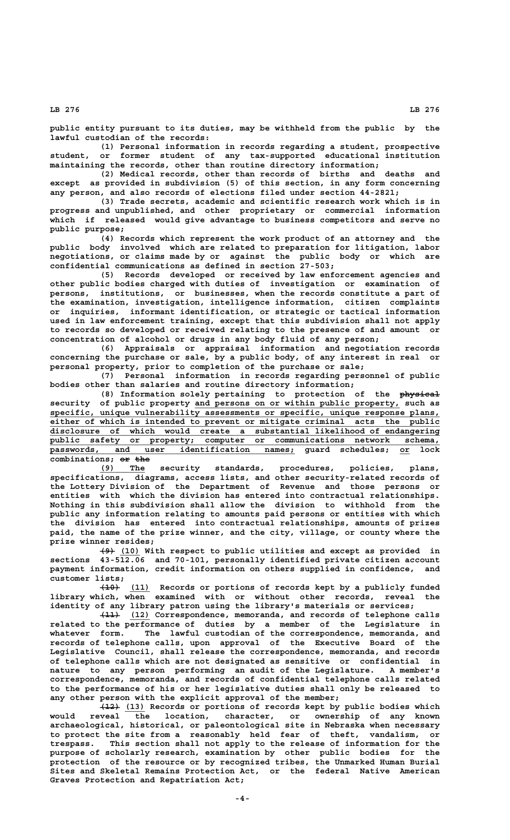**public entity pursuant to its duties, may be withheld from the public by the lawful custodian of the records:**

**(1) Personal information in records regarding a student, prospective student, or former student of any tax-supported educational institution maintaining the records, other than routine directory information;**

**(2) Medical records, other than records of births and deaths and except as provided in subdivision (5) of this section, in any form concerning any person, and also records of elections filed under section 44-2821;**

**(3) Trade secrets, academic and scientific research work which is in progress and unpublished, and other proprietary or commercial information which if released would give advantage to business competitors and serve no public purpose;**

**(4) Records which represent the work product of an attorney and the public body involved which are related to preparation for litigation, labor negotiations, or claims made by or against the public body or which are confidential communications as defined in section 27-503;**

**(5) Records developed or received by law enforcement agencies and other public bodies charged with duties of investigation or examination of persons, institutions, or businesses, when the records constitute a part of the examination, investigation, intelligence information, citizen complaints or inquiries, informant identification, or strategic or tactical information used in law enforcement training, except that this subdivision shall not apply to records so developed or received relating to the presence of and amount or concentration of alcohol or drugs in any body fluid of any person;**

**(6) Appraisals or appraisal information and negotiation records concerning the purchase or sale, by a public body, of any interest in real or personal property, prior to completion of the purchase or sale;**

**(7) Personal information in records regarding personnel of public bodies other than salaries and routine directory information;**

(8) Information solely pertaining to protection of the physical  **\_\_\_\_\_\_\_\_\_\_\_\_\_\_\_\_\_\_\_\_\_\_\_\_\_\_\_\_\_\_\_\_\_\_\_\_\_\_\_\_\_ security of public property and persons on or within public property, such as \_\_\_\_\_\_\_\_\_\_\_\_\_\_\_\_\_\_\_\_\_\_\_\_\_\_\_\_\_\_\_\_\_\_\_\_\_\_\_\_\_\_\_\_\_\_\_\_\_\_\_\_\_\_\_\_\_\_\_\_\_\_\_\_\_\_\_\_\_\_\_\_\_\_\_\_\_\_ specific, unique vulnerability assessments or specific, unique response plans, \_\_\_\_\_\_\_\_\_\_\_\_\_\_\_\_\_\_\_\_\_\_\_\_\_\_\_\_\_\_\_\_\_\_\_\_\_\_\_\_\_\_\_\_\_\_\_\_\_\_\_\_\_\_\_\_\_\_\_\_\_\_\_\_\_\_\_\_\_\_\_\_\_\_\_\_\_\_ either of which is intended to prevent or mitigate criminal acts the public \_\_\_\_\_\_\_\_\_\_\_\_\_\_\_\_\_\_\_\_\_\_\_\_\_\_\_\_\_\_\_\_\_\_\_\_\_\_\_\_\_\_\_\_\_\_\_\_\_\_\_\_\_\_\_\_\_\_\_\_\_\_\_\_\_\_\_\_\_\_\_\_\_\_\_\_\_\_ disclosure of which would create a substantial likelihood of endangering \_\_\_\_\_\_\_\_\_\_\_\_\_\_\_\_\_\_\_\_\_\_\_\_\_\_\_\_\_\_\_\_\_\_\_\_\_\_\_\_\_\_\_\_\_\_\_\_\_\_\_\_\_\_\_\_\_\_\_\_\_\_\_\_\_\_\_\_\_\_\_\_\_\_\_\_\_\_ public safety or property; computer or communications network schema, \_\_\_\_\_\_\_\_\_\_\_\_\_\_\_\_\_\_\_\_\_\_\_\_\_\_\_\_\_\_\_\_\_\_\_\_\_\_\_\_\_\_\_\_\_\_\_\_\_ \_\_ passwords, and user identification names; guard schedules; or lock —— ——— combinations; or the**

 **\_\_\_\_\_\_\_\_\_ (9) The security standards, procedures, policies, plans, specifications, diagrams, access lists, and other security-related records of the Lottery Division of the Department of Revenue and those persons or entities with which the division has entered into contractual relationships. Nothing in this subdivision shall allow the division to withhold from the public any information relating to amounts paid persons or entities with which the division has entered into contractual relationships, amounts of prizes paid, the name of the prize winner, and the city, village, or county where the prize winner resides;**

 **——— \_\_\_\_ (9) (10) With respect to public utilities and except as provided in sections 43-512.06 and 70-101, personally identified private citizen account payment information, credit information on others supplied in confidence, and customer lists;**

 **———— \_\_\_\_ (10) (11) Records or portions of records kept by a publicly funded library which, when examined with or without other records, reveal the identity of any library patron using the library's materials or services;**

 **———— \_\_\_\_ (11) (12) Correspondence, memoranda, and records of telephone calls related to the performance of duties by a member of the Legislature in whatever form. The lawful custodian of the correspondence, memoranda, and records of telephone calls, upon approval of the Executive Board of the Legislative Council, shall release the correspondence, memoranda, and records of telephone calls which are not designated as sensitive or confidential in nature to any person performing an audit of the Legislature. A member's correspondence, memoranda, and records of confidential telephone calls related to the performance of his or her legislative duties shall only be released to any other person with the explicit approval of the member;**

 **———— \_\_\_\_ (12) (13) Records or portions of records kept by public bodies which would reveal the location, character, or ownership of any known archaeological, historical, or paleontological site in Nebraska when necessary to protect the site from a reasonably held fear of theft, vandalism, or trespass. This section shall not apply to the release of information for the purpose of scholarly research, examination by other public bodies for the protection of the resource or by recognized tribes, the Unmarked Human Burial Sites and Skeletal Remains Protection Act, or the federal Native American Graves Protection and Repatriation Act;**